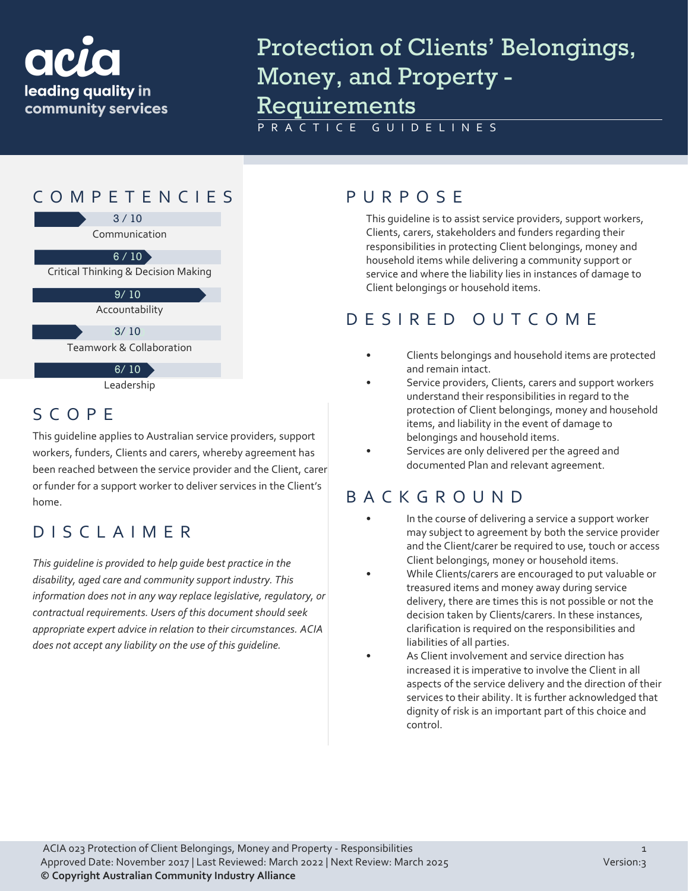

# Protection of Clients' Belongings, Money, and Property - Requirements

PRACTICE GUIDELINES



## SCOPE

This guideline applies to Australian service providers, support workers, funders, Clients and carers, whereby agreement has been reached between the service provider and the Client, carer or funder for a support worker to deliver services in the Client's home.

#### DISCLAIMER

*This guideline is provided to help guide best practice in the disability, aged care and community support industry. This information does not in any way replace legislative, regulatory, or contractual requirements. Users of this document should seek appropriate expert advice in relation to their circumstances. ACIA does not accept any liability on the use of this guideline.*

This guideline is to assist service providers, support workers, Clients, carers, stakeholders and funders regarding their responsibilities in protecting Client belongings, money and household items while delivering a community support or service and where the liability lies in instances of damage to Client belongings or household items.

#### DESIRED OUTCOME

- Clients belongings and household items are protected and remain intact.
- Service providers, Clients, carers and support workers understand their responsibilities in regard to the protection of Client belongings, money and household items, and liability in the event of damage to belongings and household items.
- Services are only delivered per the agreed and documented Plan and relevant agreement.

## BACKGROUND

- In the course of delivering a service a support worker may subject to agreement by both the service provider and the Client/carer be required to use, touch or access Client belongings, money or household items.
- While Clients/carers are encouraged to put valuable or treasured items and money away during service delivery, there are times this is not possible or not the decision taken by Clients/carers. In these instances, clarification is required on the responsibilities and liabilities of all parties.
- As Client involvement and service direction has increased it is imperative to involve the Client in all aspects of the service delivery and the direction of their services to their ability. It is further acknowledged that dignity of risk is an important part of this choice and control.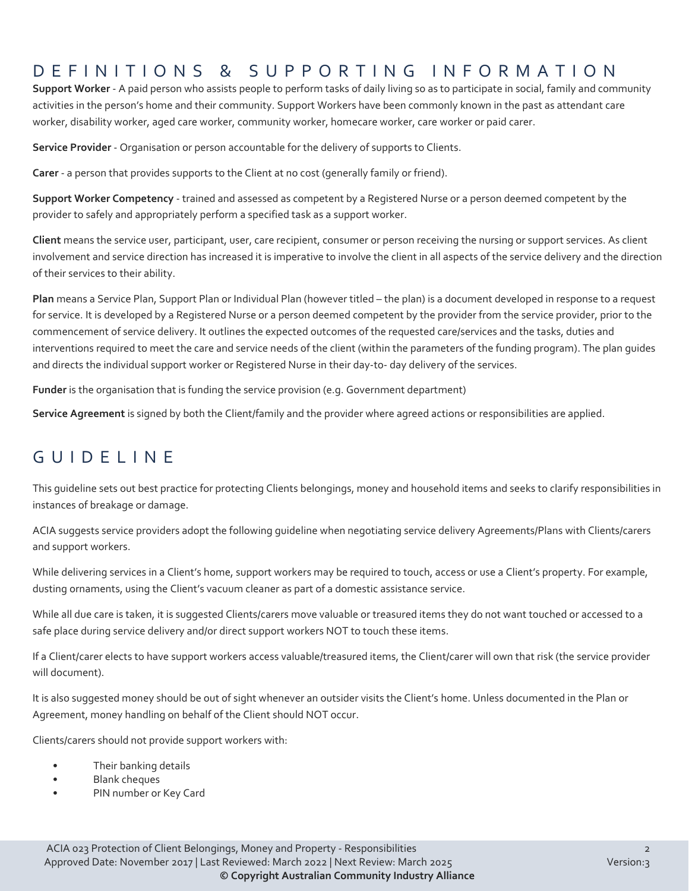## DEFINITIONS & SUPPORTING INFORMATIO N

**Support Worker** - A paid person who assists people to perform tasks of daily living so as to participate in social, family and community activities in the person's home and their community. Support Workers have been commonly known in the past as attendant care worker, disability worker, aged care worker, community worker, homecare worker, care worker or paid carer.

**Service Provider** - Organisation or person accountable for the delivery of supports to Clients.

**Carer** - a person that provides supports to the Client at no cost (generally family or friend).

**Support Worker Competency** - trained and assessed as competent by a Registered Nurse or a person deemed competent by the provider to safely and appropriately perform a specified task as a support worker.

**Client** means the service user, participant, user, care recipient, consumer or person receiving the nursing or support services. As client involvement and service direction has increased it is imperative to involve the client in all aspects of the service delivery and the direction of their services to their ability.

**Plan** means a Service Plan, Support Plan or Individual Plan (however titled – the plan) is a document developed in response to a request for service. It is developed by a Registered Nurse or a person deemed competent by the provider from the service provider, prior to the commencement of service delivery. It outlines the expected outcomes of the requested care/services and the tasks, duties and interventions required to meet the care and service needs of the client (within the parameters of the funding program). The plan guides and directs the individual support worker or Registered Nurse in their day-to- day delivery of the services.

**Funder** is the organisation that is funding the service provision (e.g. Government department)

**Service Agreement** is signed by both the Client/family and the provider where agreed actions or responsibilities are applied.

#### GUIDELINE

This guideline sets out best practice for protecting Clients belongings, money and household items and seeks to clarify responsibilities in instances of breakage or damage.

ACIA suggests service providers adopt the following guideline when negotiating service delivery Agreements/Plans with Clients/carers and support workers.

While delivering services in a Client's home, support workers may be required to touch, access or use a Client's property. For example, dusting ornaments, using the Client's vacuum cleaner as part of a domestic assistance service.

While all due care is taken, it is suggested Clients/carers move valuable or treasured items they do not want touched or accessed to a safe place during service delivery and/or direct support workers NOT to touch these items.

If a Client/carer elects to have support workers access valuable/treasured items, the Client/carer will own that risk (the service provider will document).

It is also suggested money should be out of sight whenever an outsider visits the Client's home. Unless documented in the Plan or Agreement, money handling on behalf of the Client should NOT occur.

Clients/carers should not provide support workers with:

- Their banking details
- Blank cheques
- PIN number or Key Card